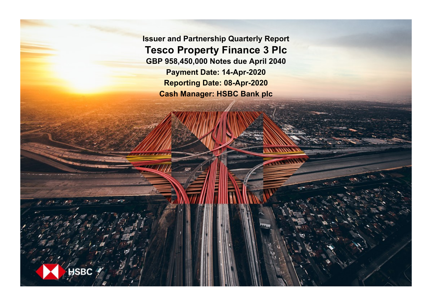**Issuer and Partnership Quarterly Report Tesco Property Finance 3 Plc GBP 958,450,000 Notes due April 2040 Payment Date: 14-Apr-2020 Reporting Date: 08-Apr-2020 Cash Manager: HSBC Bank plc**

**SBC**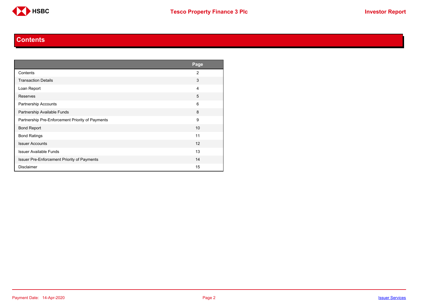

#### **Contents**

<span id="page-1-0"></span>

|                                                  | Page           |
|--------------------------------------------------|----------------|
| Contents                                         | $\overline{2}$ |
| <b>Transaction Details</b>                       | 3              |
| Loan Report                                      | 4              |
| Reserves                                         | 5              |
| Partnership Accounts                             | 6              |
| Partnership Available Funds                      | 8              |
| Partnership Pre-Enforcement Priority of Payments | 9              |
| <b>Bond Report</b>                               | 10             |
| <b>Bond Ratings</b>                              | 11             |
| <b>Issuer Accounts</b>                           | 12             |
| <b>Issuer Available Funds</b>                    | 13             |
| Issuer Pre-Enforcement Priority of Payments      | 14             |
| <b>Disclaimer</b>                                | 15             |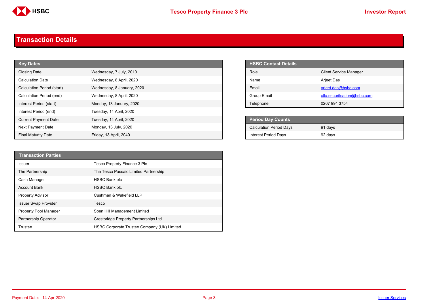

#### <span id="page-2-0"></span>**Transaction Details**

| <b>Key Dates</b>            |                            |                             | <b>HSBC Contact Details</b>               |
|-----------------------------|----------------------------|-----------------------------|-------------------------------------------|
| Closing Date                | Wednesday, 7 July, 2010    | Role                        | <b>Client Service Manager</b>             |
| <b>Calculation Date</b>     | Wednesday, 8 April, 2020   | Name                        | Arjeet Das                                |
| Calculation Period (start)  | Wednesday, 8 January, 2020 | Email                       | arjeet.das@hsbc.com                       |
| Calculation Period (end)    | Wednesday, 8 April, 2020   | Group Email                 | ctla.securitsation@hsbc.com               |
| Interest Period (start)     | Monday, 13 January, 2020   | Telephone                   | 0207 991 3754                             |
| Interest Period (end)       | Tuesday, 14 April, 2020    |                             |                                           |
| <b>Current Payment Date</b> | Tuesday, 14 April, 2020    |                             | <b>Period Day Counts</b>                  |
| Next Payment Date           | Monday, 13 July, 2020      |                             | <b>Calculation Period Days</b><br>91 days |
| <b>Final Maturity Date</b>  | Friday, 13 April, 2040     | <b>Interest Period Days</b> | 92 days                                   |

| <b>HSBC Contact Details</b> |                               |
|-----------------------------|-------------------------------|
| Role                        | <b>Client Service Manager</b> |
| <b>Name</b>                 | <b>Arjeet Das</b>             |
| <b>Fmail</b>                | arjeet.das@hsbc.com           |
| Group Email                 | ctla.securitsation@hsbc.com   |
| Telephone                   | 0207 991 3754                 |

| <b>Period Day Counts</b>       |         |  |
|--------------------------------|---------|--|
| <b>Calculation Period Days</b> | 91 days |  |
| <b>Interest Period Days</b>    | 92 days |  |

| <b>Transaction Parties</b>  |                                             |
|-----------------------------|---------------------------------------------|
| <b>Issuer</b>               | Tesco Property Finance 3 Plc                |
| The Partnership             | The Tesco Passaic Limited Partnership       |
| Cash Manager                | <b>HSBC Bank plc</b>                        |
| <b>Account Bank</b>         | <b>HSBC Bank plc</b>                        |
| <b>Property Advisor</b>     | Cushman & Wakefield LLP                     |
| <b>Issuer Swap Provider</b> | Tesco                                       |
| Property Pool Manager       | Spen Hill Management Limited                |
| Partnership Operator        | Crestbridge Property Partnerships Ltd       |
| Trustee                     | HSBC Corporate Trustee Company (UK) Limited |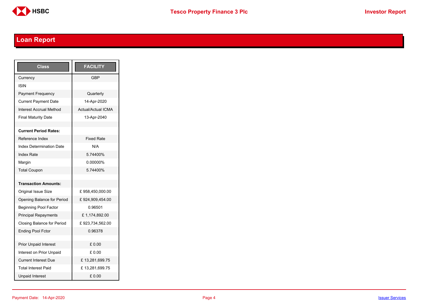

# <span id="page-3-0"></span>**Loan Report**

| <b>Class</b>                      | <b>FACILITY</b>           |
|-----------------------------------|---------------------------|
| Currency                          | GBP                       |
| ISIN                              |                           |
| <b>Payment Frequency</b>          | Quarterly                 |
| <b>Current Payment Date</b>       | 14-Apr-2020               |
| <b>Interest Accrual Method</b>    | <b>Actual/Actual ICMA</b> |
| <b>Final Maturity Date</b>        | 13-Apr-2040               |
|                                   |                           |
| <b>Current Period Rates:</b>      |                           |
| Reference Index                   | <b>Fixed Rate</b>         |
| <b>Index Determination Date</b>   | N/A                       |
| <b>Index Rate</b>                 | 5.74400%                  |
| Margin                            | 0.00000%                  |
| <b>Total Coupon</b>               | 574400%                   |
|                                   |                           |
| <b>Transaction Amounts:</b>       |                           |
| <b>Original Issue Size</b>        | £958,450,000.00           |
| Opening Balance for Period        | £924,909,454.00           |
| <b>Beginning Pool Factor</b>      | 0.96501                   |
| <b>Principal Repayments</b>       | £1,174,892.00             |
| <b>Closing Balance for Period</b> | £923,734,562.00           |
| <b>Ending Pool Fctor</b>          | 0.96378                   |
|                                   |                           |
| <b>Prior Unpaid Interest</b>      | £0.00                     |
| Interest on Prior Unpaid          | £ 0.00                    |
| <b>Current Interest Due</b>       | £13,281,699.75            |
| <b>Total Interest Paid</b>        | £13,281,699.75            |
| <b>Unpaid Interest</b>            | £0.00                     |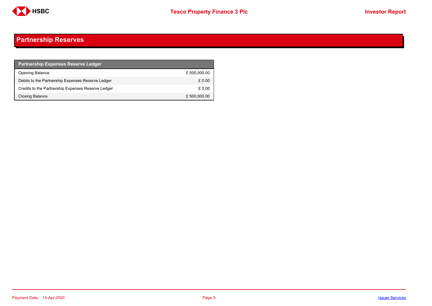

## <span id="page-4-0"></span>**Partnership Reserves**

| <b>Partnership Expenses Reserve Ledger</b>         |              |
|----------------------------------------------------|--------------|
| Opening Balance                                    | £500,000.00  |
| Debits to the Partnership Expenses Reserve Ledger  | £0.00        |
| Credits to the Partnership Expenses Reserve Ledger | £ 0.00       |
| Closing Balance                                    | £ 500,000.00 |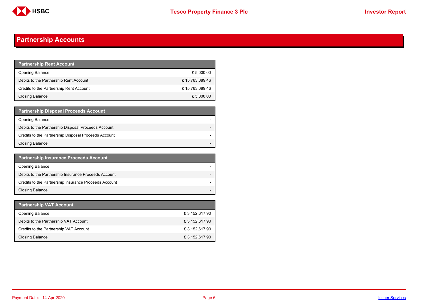

## <span id="page-5-0"></span>**Partnership Accounts**

| <b>Partnership Rent Account</b>         |                |
|-----------------------------------------|----------------|
| <b>Opening Balance</b>                  | £ 5,000.00     |
| Debits to the Partnership Rent Account  | £15,763,089.46 |
| Credits to the Partnership Rent Account | £15,763,089.46 |
| <b>Closing Balance</b>                  | £ 5,000.00     |

| <b>Partnership Disposal Proceeds Account</b>         |  |
|------------------------------------------------------|--|
| <b>Opening Balance</b>                               |  |
| Debits to the Partnership Disposal Proceeds Account  |  |
| Credits to the Partnership Disposal Proceeds Account |  |
| Closing Balance                                      |  |

| <b>Partnership Insurance Proceeds Account</b>         |  |
|-------------------------------------------------------|--|
| <b>Opening Balance</b>                                |  |
| Debits to the Partnership Insurance Proceeds Account  |  |
| Credits to the Partnership Insurance Proceeds Account |  |
| <b>Closing Balance</b>                                |  |

| <b>Partnership VAT Account</b>         |               |
|----------------------------------------|---------------|
| <b>Opening Balance</b>                 | £3,152,617.90 |
| Debits to the Partnership VAT Account  | £3,152,617.90 |
| Credits to the Partnership VAT Account | £3,152,617.90 |
| Closing Balance                        | £3,152,617.90 |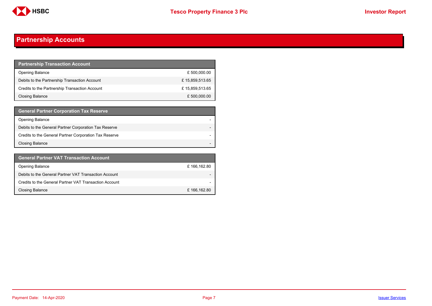

## **Partnership Accounts**

| <b>Partnership Transaction Account</b>         |                |
|------------------------------------------------|----------------|
| <b>Opening Balance</b>                         | £ 500,000.00   |
| Debits to the Partnership Transaction Account  | £15,859,513.65 |
| Credits to the Partnership Transaction Account | £15,859,513.65 |
| <b>Closing Balance</b>                         | £ 500,000.00   |

| <b>General Partner Corporation Tax Reserve</b>         |  |
|--------------------------------------------------------|--|
| <b>Opening Balance</b>                                 |  |
| Debits to the General Partner Corporation Tax Reserve  |  |
| Credits to the General Partner Corporation Tax Reserve |  |
| <b>Closing Balance</b>                                 |  |

| <b>General Partner VAT Transaction Account</b>         |             |
|--------------------------------------------------------|-------------|
| <b>Opening Balance</b>                                 | £166,162.80 |
| Debits to the General Partner VAT Transaction Account  |             |
| Credits to the General Partner VAT Transaction Account |             |
| <b>Closing Balance</b>                                 | £166,162.80 |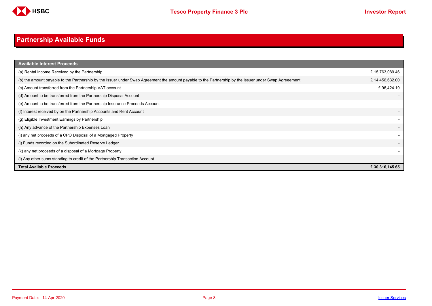

# <span id="page-7-0"></span>**Partnership Available Funds**

| <b>Available Interest Proceeds</b>                                                                                                                     |                |
|--------------------------------------------------------------------------------------------------------------------------------------------------------|----------------|
| (a) Rental Income Received by the Partnership                                                                                                          | £15,763,089.46 |
| (b) the amount payable to the Partnership by the Issuer under Swap Agreement the amount payable to the Partnership by the Issuer under Swap Agreeement | £14,456,632.00 |
| (c) Amount transferred from the Partnership VAT account                                                                                                | £96,424.19     |
| (d) Amount to be transferred from the Partnership Disposal Account                                                                                     |                |
| (e) Amount to be transferred from the Partnership Insurance Proceeds Account                                                                           |                |
| (f) Interest received by on the Partnership Accounts and Rent Account                                                                                  |                |
| (g) Eligible Investment Earnings by Partnership                                                                                                        |                |
| (h) Any advance of the Partnership Expenses Loan                                                                                                       |                |
| (i) any net proceeds of a CPO Disposal of a Mortgaged Property                                                                                         |                |
| (i) Funds recorded on the Subordinated Reserve Ledger                                                                                                  |                |
| (k) any net proceeds of a disposal of a Mortgage Property                                                                                              |                |
| (I) Any other sums standing to credit of the Partnership Transaction Account                                                                           |                |
| <b>Total Available Proceeds</b>                                                                                                                        | £30,316,145.65 |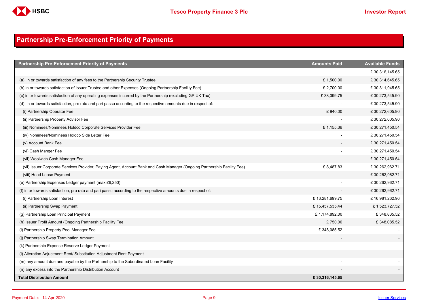

## <span id="page-8-0"></span>**Partnership Pre-Enforcement Priority of Payments**

| <b>Partnership Pre-Enforcement Priority of Payments</b>                                                                  | <b>Amounts Paid</b> | <b>Available Funds</b> |
|--------------------------------------------------------------------------------------------------------------------------|---------------------|------------------------|
|                                                                                                                          |                     | £30,316,145.65         |
| (a) in or towards satisfaction of any fees to the Partnership Security Trustee                                           | £1,500.00           | £30,314,645.65         |
| (b) in or towards satisfaction of Issuer Trustee and other Expenses (Ongoing Partnership Facility Fee)                   | £ 2,700.00          | £30,311,945.65         |
| (c) in or towards satisfaction of any operating expenses incurred by the Partnership (excluding GP UK Tax)               | £38,399.75          | £30,273,545.90         |
| (d) in or towards satisfaction, pro rata and pari passu according to the respective amounts due in respect of:           |                     | £30,273,545.90         |
| (i) Partnership Operator Fee                                                                                             | £940.00             | £30,272,605.90         |
| (ii) Partnership Property Advisor Fee                                                                                    |                     | £30,272,605.90         |
| (iii) Nominees/Nominees Holdco Corporate Services Provider Fee                                                           | £1,155.36           | £30,271,450.54         |
| (iv) Nominees/Nominees Holdco Side Letter Fee                                                                            |                     | £30,271,450.54         |
| (v) Account Bank Fee                                                                                                     |                     | £30,271,450.54         |
| (vi) Cash Manger Fee                                                                                                     |                     | £30,271,450.54         |
| (vii) Woolwich Cash Manager Fee                                                                                          |                     | £30,271,450.54         |
| (vii) Issuer Corporate Services Provider, Paying Agent, Account Bank and Cash Manager (Ongoing Partnership Facility Fee) | £8,487.83           | £30,262,962.71         |
| (viii) Head Lease Payment                                                                                                |                     | £30,262,962.71         |
| (e) Partnership Expenses Ledger payment (max £6,250)                                                                     |                     | £30,262,962.71         |
| (f) in or towards satisfaction, pro rata and pari passu according to the respective amounts due in respect of:           |                     | £30,262,962.71         |
| (i) Partnership Loan Interest                                                                                            | £13,281,699.75      | £16,981,262.96         |
| (ii) Partnership Swap Payment                                                                                            | £15,457,535.44      | £1,523,727.52          |
| (g) Partnership Loan Principal Payment                                                                                   | £1,174,892.00       | £348,835.52            |
| (h) Issuer Profit Amount (Ongoing Partnership Facility Fee                                                               | £750.00             | £348,085.52            |
| (i) Partnership Property Pool Manager Fee                                                                                | £348,085.52         |                        |
| (i) Partnership Swap Termination Amount                                                                                  |                     |                        |
| (k) Partnership Expense Reserve Ledger Payment                                                                           |                     |                        |
| (I) Alteration Adjustment Rent/ Substitution Adjustment Rent Payment                                                     |                     |                        |
| (m) any amount due and payable by the Partnership to the Subordinated Loan Facility                                      |                     |                        |
| (n) any excess into the Partnership Distribution Account                                                                 |                     |                        |
| <b>Total Distribution Amount</b>                                                                                         | £30,316,145.65      |                        |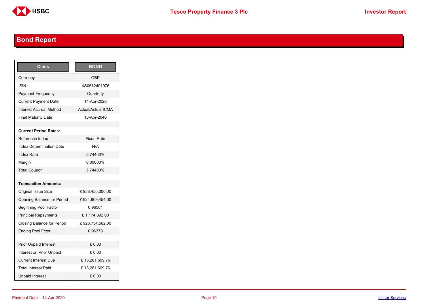

# <span id="page-9-0"></span>**Bond Report**

| Class                           | <b>BOND</b>        |
|---------------------------------|--------------------|
| Currency                        | <b>GBP</b>         |
| ISIN                            | XS0512401976       |
| <b>Payment Frequency</b>        | Quarterly          |
| <b>Current Payment Date</b>     | 14-Apr-2020        |
| Interest Accrual Method         | Actual/Actual ICMA |
| <b>Final Maturity Date</b>      | 13-Apr-2040        |
|                                 |                    |
| <b>Current Period Rates:</b>    |                    |
| Reference Index                 | <b>Fixed Rate</b>  |
| <b>Index Determination Date</b> | N/A                |
| <b>Index Rate</b>               | 5.74400%           |
| Margin                          | 0.00000%           |
| <b>Total Coupon</b>             | 5.74400%           |
|                                 |                    |
| <b>Transaction Amounts:</b>     |                    |
| Original Issue Size             | £958,450,000.00    |
| Opening Balance for Period      | £924,909,454.00    |
| <b>Beginning Pool Factor</b>    | 0.96501            |
| <b>Principal Repayments</b>     | £1,174,892.00      |
| Closing Balance for Period      | £923,734,562.00    |
| <b>Ending Pool Fctor</b>        | 0.96378            |
|                                 |                    |
| <b>Prior Unpaid Interest</b>    | £ 0.00             |
| Interest on Prior Unpaid        | £ 0.00             |
| <b>Current Interest Due</b>     | £13,281,699.76     |
| <b>Total Interest Paid</b>      | £13,281,699.76     |
| <b>Unpaid Interest</b>          | £0.00              |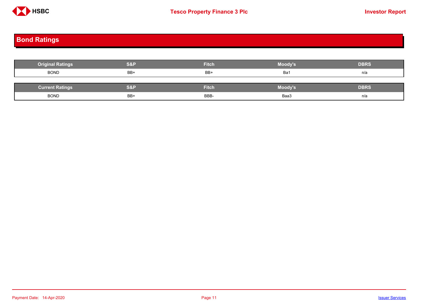

## <span id="page-10-0"></span>**Bond Ratings**

| <b>Original Ratings</b> | S&P | <b>Fitch</b> | <b>Moody's</b> | <b>DBRS</b> |
|-------------------------|-----|--------------|----------------|-------------|
| <b>BOND</b>             | BB+ | BB+          | Ba1            | n/a         |
|                         |     |              |                |             |
| <b>Current Ratings</b>  | S&P | <b>Fitch</b> | <b>Moody's</b> | <b>DBRS</b> |
| <b>BOND</b>             | BB+ | BBB-         | Baa3           | n/a         |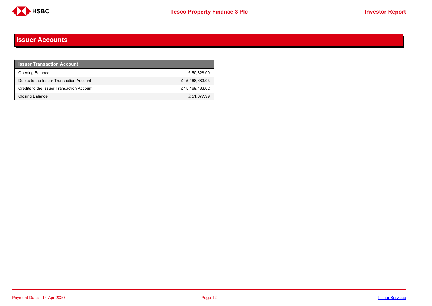

#### <span id="page-11-0"></span>**Issuer Accounts**

| <b>Issuer Transaction Account</b>         |                |
|-------------------------------------------|----------------|
| <b>Opening Balance</b>                    | £50.328.00     |
| Debits to the Issuer Transaction Account  | £15,468,683.03 |
| Credits to the Issuer Transaction Account | £15,469,433.02 |
| <b>Closing Balance</b>                    | £ 51,077.99    |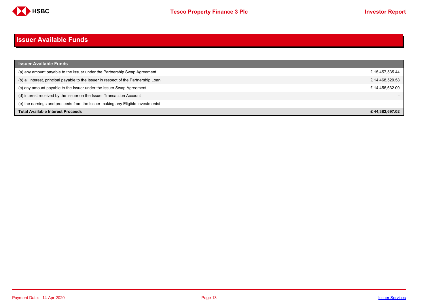

#### <span id="page-12-0"></span>**Issuer Available Funds**

| <b>Issuer Available Funds</b>                                                        |                |
|--------------------------------------------------------------------------------------|----------------|
| (a) any amount payable to the Issuer under the Partnership Swap Agreement            | £15,457,535.44 |
| (b) all interest, principal payable to the Issuer in respect of the Partnership Loan | £14,468,529.58 |
| (c) any amount payable to the Issuer under the Issuer Swap Agreement                 | £14.456.632.00 |
| (d) interest received by the Issuer on the Issuer Transaction Account                |                |
| (e) the earnings and proceeds from the Issuer making any Eligible Investmentst       |                |
| <b>Total Available Interest Proceeds</b>                                             | £44.382.697.02 |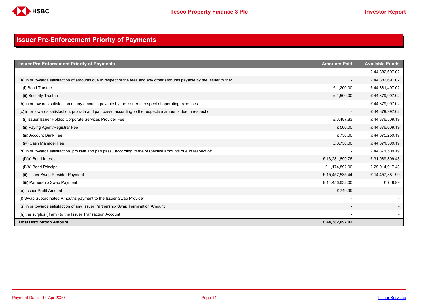

## <span id="page-13-0"></span>**Issuer Pre-Enforcement Priority of Payments**

| <b>Issuer Pre-Enforcement Priority of Payments</b>                                                                       | <b>Amounts Paid</b>      | <b>Available Funds</b> |
|--------------------------------------------------------------------------------------------------------------------------|--------------------------|------------------------|
|                                                                                                                          |                          | £44,382,697.02         |
| (a) in or towards satisfaction of amounts due in respect of the fees and any other amounts payable by the Issuer to the: | $\overline{\phantom{a}}$ | £44,382,697.02         |
| (i) Bond Trustee                                                                                                         | £1,200.00                | £44,381,497.02         |
| (ii) Security Trustee                                                                                                    | £1,500.00                | £44,379,997.02         |
| (b) in or towards satisfaction of any amounts payable by the Issuer in respect of operating expenses                     |                          | £44,379,997.02         |
| (c) in or towards satisfaction, pro rata and pari passu according to the respective amounts due in respect of:           | $\overline{\phantom{a}}$ | £44,379,997.02         |
| (i) Issuer/Issuer Holdco Corporate Services Provider Fee                                                                 | £3,487.83                | £44,376,509.19         |
| (ii) Paying Agent/Registrar Fee                                                                                          | £500.00                  | £44,376,009.19         |
| (iii) Account Bank Fee                                                                                                   | £750.00                  | £44,375,259.19         |
| (iv) Cash Manager Fee                                                                                                    | £3,750.00                | £44,371,509.19         |
| (d) in or towards satisfaction, pro rata and pari passu according to the respective amounts due in respect of:           | $\overline{\phantom{a}}$ | £44,371,509.19         |
| $(i)(a)$ Bond Interest                                                                                                   | £13,281,699.76           | £31,089,809.43         |
| (i)(b) Bond Principal                                                                                                    | £1,174,892.00            | £29,914,917.43         |
| (ii) Issuer Swap Provider Payment                                                                                        | £15,457,535.44           | £14,457,381.99         |
| (iii) Parnership Swap Payment                                                                                            | £14,456,632.00           | £749.99                |
| (e) Issuer Profit Amount                                                                                                 | £749.99                  |                        |
| (f) Swap Subordinated Amoutns payment to the Issuer Swap Provider                                                        |                          |                        |
| (g) in or towards satisfaction of any Issuer Partnership Swap Termination Amount                                         |                          |                        |
| (h) the surplus (if any) to the Issuer Transaction Account                                                               |                          |                        |
| <b>Total Distribution Amount</b>                                                                                         | £44,382,697.02           |                        |